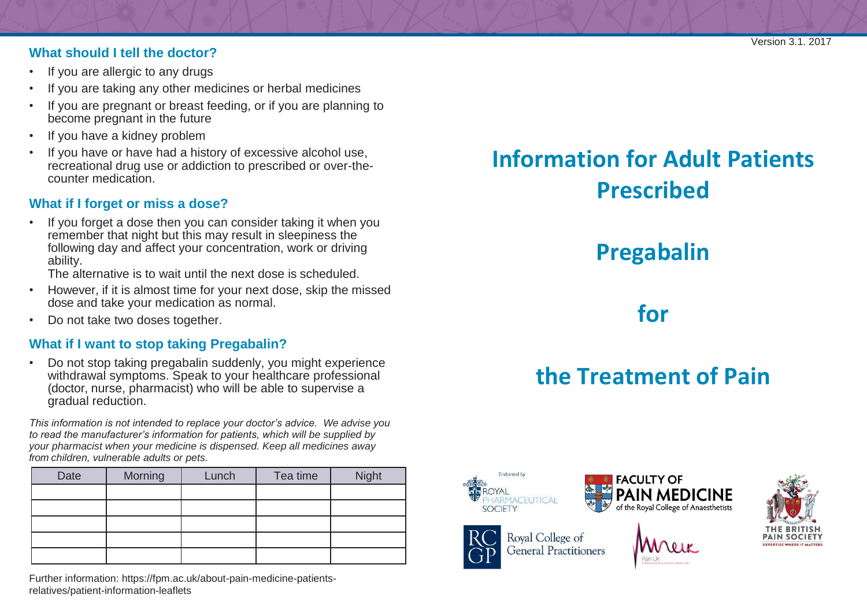#### **What should I tell the doctor?**

- If you are allergic to any drugs
- If you are taking any other medicines or herbal medicines
- If you are pregnant or breast feeding, or if you are planning to become pregnant in the future
- If you have a kidney problem
- If you have or have had a history of excessive alcohol use, recreational drug use or addiction to prescribed or over-thecounter medication.

#### **What if I forget or miss a dose?**

• If you forget a dose then you can consider taking it when you remember that night but this may result in sleepiness the following day and affect your concentration, work or driving ability.

The alternative is to wait until the next dose is scheduled.

- However, if it is almost time for your next dose, skip the missed dose and take your medication as normal.
- Do not take two doses together.

#### **What if I want to stop taking Pregabalin?**

• Do not stop taking pregabalin suddenly, you might experience withdrawal symptoms. Speak to your healthcare professional (doctor, nurse, pharmacist) who will be able to supervise a gradual reduction.

*This information is not intended to replace your doctor's advice. We advise you to read the manufacturer's information for patients, which will be supplied by your pharmacist when your medicine is dispensed. Keep all medicines away from children, vulnerable adults or pets.*

| Date | Morning | Lunch | Tea time | Night |
|------|---------|-------|----------|-------|
|      |         |       |          |       |
|      |         |       |          |       |
|      |         |       |          |       |
|      |         |       |          |       |
|      |         |       |          |       |

Further inform[ation: https://fpm.ac.uk/about-pain-medicine-patients](https://fpm.ac.uk/about-pain-medicine-patients-relatives/patient-information-leaflets)[relatives/patient-information-leaflets](https://fpm.ac.uk/about-pain-medicine-patients-relatives/patient-information-leaflets)

# **Information for Adult Patients Prescribed**

# **Pregabalin**

**for**

# **the Treatment of Pain**



**General Practitioners**